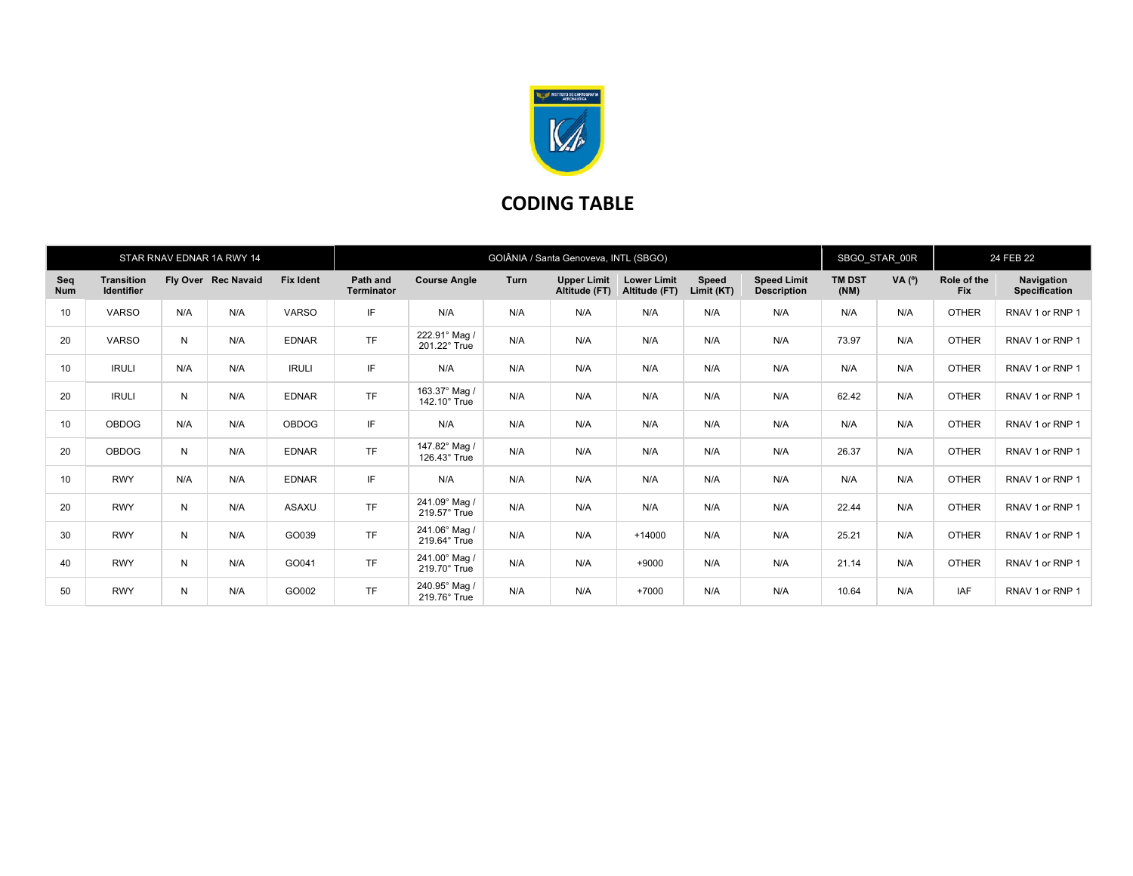

## CODING TABLE

|                   |                                        |     | STAR RNAV EDNAR 1A RWY 14 |                  | GOIÂNIA / Santa Genoveva, INTL (SBGO) |                               |             |                                     |                                     |                            |                                          | SBGO_STAR_00R         |                | 24 FEB 22                 |                                    |
|-------------------|----------------------------------------|-----|---------------------------|------------------|---------------------------------------|-------------------------------|-------------|-------------------------------------|-------------------------------------|----------------------------|------------------------------------------|-----------------------|----------------|---------------------------|------------------------------------|
| Seq<br><b>Num</b> | <b>Transition</b><br><b>Identifier</b> |     | Fly Over Rec Navaid       | <b>Fix Ident</b> | Path and<br><b>Terminator</b>         | <b>Course Angle</b>           | <b>Turn</b> | <b>Upper Limit</b><br>Altitude (FT) | <b>Lower Limit</b><br>Altitude (FT) | <b>Speed</b><br>Limit (KT) | <b>Speed Limit</b><br><b>Description</b> | <b>TM DST</b><br>(NM) | $VA(^{\circ})$ | Role of the<br><b>Fix</b> | Navigation<br><b>Specification</b> |
| 10                | <b>VARSO</b>                           | N/A | N/A                       | <b>VARSO</b>     | IF                                    | N/A                           | N/A         | N/A                                 | N/A                                 | N/A                        | N/A                                      | N/A                   | N/A            | <b>OTHER</b>              | RNAV 1 or RNP 1                    |
| 20                | <b>VARSO</b>                           | N   | N/A                       | <b>EDNAR</b>     | <b>TF</b>                             | 222.91° Mag /<br>201.22° True | N/A         | N/A                                 | N/A                                 | N/A                        | N/A                                      | 73.97                 | N/A            | <b>OTHER</b>              | RNAV 1 or RNP 1                    |
| 10                | <b>IRULI</b>                           | N/A | N/A                       | <b>IRULI</b>     | IF                                    | N/A                           | N/A         | N/A                                 | N/A                                 | N/A                        | N/A                                      | N/A                   | N/A            | <b>OTHER</b>              | RNAV 1 or RNP 1                    |
| 20                | <b>IRULI</b>                           | N   | N/A                       | <b>EDNAR</b>     | <b>TF</b>                             | 163.37° Mag /<br>142.10° True | N/A         | N/A                                 | N/A                                 | N/A                        | N/A                                      | 62.42                 | N/A            | <b>OTHER</b>              | RNAV 1 or RNP 1                    |
| 10                | <b>OBDOG</b>                           | N/A | N/A                       | <b>OBDOG</b>     | IF                                    | N/A                           | N/A         | N/A                                 | N/A                                 | N/A                        | N/A                                      | N/A                   | N/A            | <b>OTHER</b>              | RNAV 1 or RNP 1                    |
| 20                | <b>OBDOG</b>                           | N   | N/A                       | <b>EDNAR</b>     | <b>TF</b>                             | 147.82° Mag /<br>126.43° True | N/A         | N/A                                 | N/A                                 | N/A                        | N/A                                      | 26.37                 | N/A            | <b>OTHER</b>              | RNAV 1 or RNP 1                    |
| 10                | <b>RWY</b>                             | N/A | N/A                       | <b>EDNAR</b>     | IF                                    | N/A                           | N/A         | N/A                                 | N/A                                 | N/A                        | N/A                                      | N/A                   | N/A            | <b>OTHER</b>              | RNAV 1 or RNP 1                    |
| 20                | <b>RWY</b>                             | N   | N/A                       | ASAXU            | <b>TF</b>                             | 241.09° Mag /<br>219.57° True | N/A         | N/A                                 | N/A                                 | N/A                        | N/A                                      | 22.44                 | N/A            | <b>OTHER</b>              | RNAV 1 or RNP 1                    |
| 30                | <b>RWY</b>                             | N   | N/A                       | GO039            | <b>TF</b>                             | 241.06° Mag /<br>219.64° True | N/A         | N/A                                 | $+14000$                            | N/A                        | N/A                                      | 25.21                 | N/A            | <b>OTHER</b>              | RNAV 1 or RNP 1                    |
| 40                | <b>RWY</b>                             | N   | N/A                       | GO041            | <b>TF</b>                             | 241.00° Mag /<br>219.70° True | N/A         | N/A                                 | $+9000$                             | N/A                        | N/A                                      | 21.14                 | N/A            | <b>OTHER</b>              | RNAV 1 or RNP 1                    |
| 50                | <b>RWY</b>                             | N   | N/A                       | GO002            | <b>TF</b>                             | 240.95° Mag /<br>219.76° True | N/A         | N/A                                 | $+7000$                             | N/A                        | N/A                                      | 10.64                 | N/A            | <b>IAF</b>                | RNAV 1 or RNP 1                    |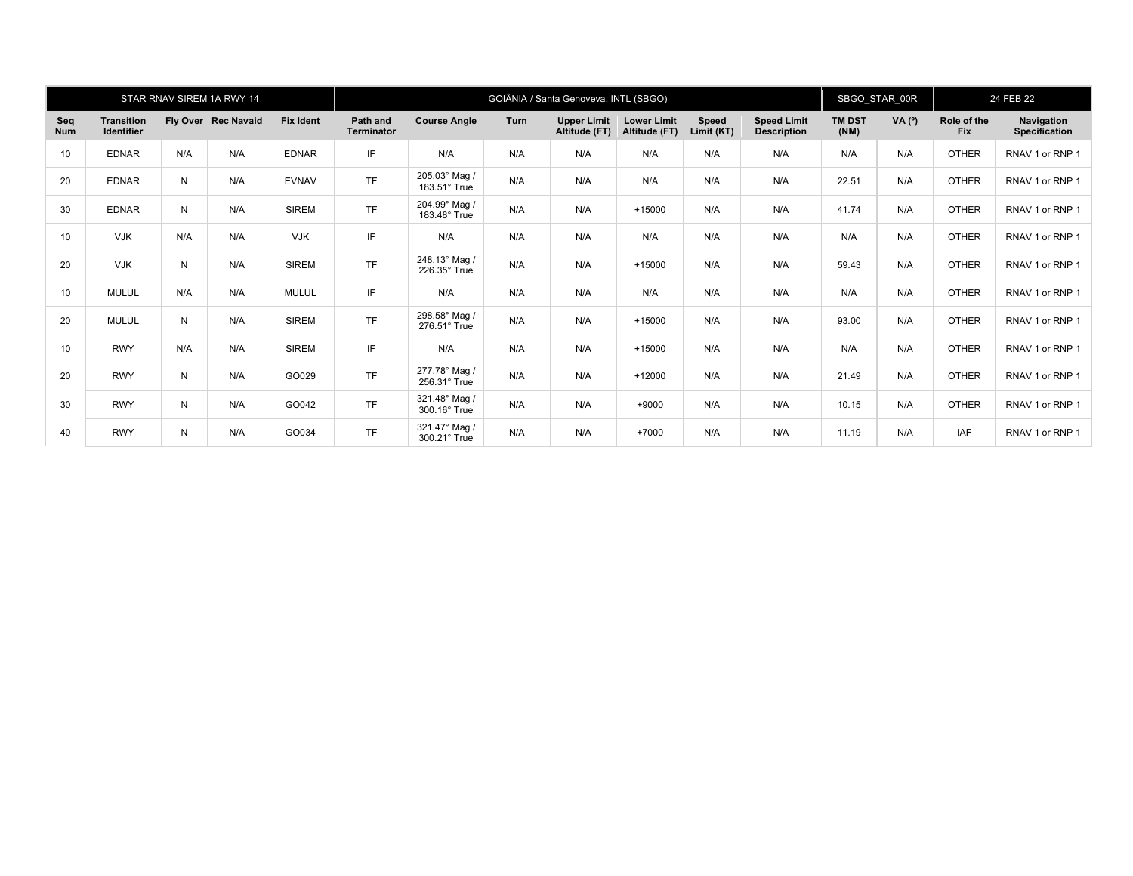|                   |                                        |     | STAR RNAV SIREM 1A RWY 14 |                  | GOIÂNIA / Santa Genoveva, INTL (SBGO) |                               |      |                                     |                                     |                            |                                          | SBGO_STAR_00R         |        | 24 FEB 22                 |                             |
|-------------------|----------------------------------------|-----|---------------------------|------------------|---------------------------------------|-------------------------------|------|-------------------------------------|-------------------------------------|----------------------------|------------------------------------------|-----------------------|--------|---------------------------|-----------------------------|
| Seq<br><b>Num</b> | <b>Transition</b><br><b>Identifier</b> |     | Fly Over Rec Navaid       | <b>Fix Ident</b> | Path and<br><b>Terminator</b>         | <b>Course Angle</b>           | Turn | <b>Upper Limit</b><br>Altitude (FT) | <b>Lower Limit</b><br>Altitude (FT) | <b>Speed</b><br>Limit (KT) | <b>Speed Limit</b><br><b>Description</b> | <b>TM DST</b><br>(NM) | VA (°) | Role of the<br><b>Fix</b> | Navigation<br>Specification |
| 10                | <b>EDNAR</b>                           | N/A | N/A                       | <b>EDNAR</b>     | IF                                    | N/A                           | N/A  | N/A                                 | N/A                                 | N/A                        | N/A                                      | N/A                   | N/A    | <b>OTHER</b>              | RNAV 1 or RNP 1             |
| 20                | <b>EDNAR</b>                           | N   | N/A                       | <b>EVNAV</b>     | <b>TF</b>                             | 205.03° Mag /<br>183.51° True | N/A  | N/A                                 | N/A                                 | N/A                        | N/A                                      | 22.51                 | N/A    | <b>OTHER</b>              | RNAV 1 or RNP 1             |
| 30                | <b>EDNAR</b>                           | N   | N/A                       | <b>SIREM</b>     | <b>TF</b>                             | 204.99° Mag /<br>183.48° True | N/A  | N/A                                 | $+15000$                            | N/A                        | N/A                                      | 41.74                 | N/A    | <b>OTHER</b>              | RNAV 1 or RNP 1             |
| 10                | <b>VJK</b>                             | N/A | N/A                       | <b>VJK</b>       | IF                                    | N/A                           | N/A  | N/A                                 | N/A                                 | N/A                        | N/A                                      | N/A                   | N/A    | <b>OTHER</b>              | RNAV 1 or RNP 1             |
| 20                | <b>VJK</b>                             | N   | N/A                       | <b>SIREM</b>     | <b>TF</b>                             | 248.13° Mag /<br>226.35° True | N/A  | N/A                                 | $+15000$                            | N/A                        | N/A                                      | 59.43                 | N/A    | <b>OTHER</b>              | RNAV 1 or RNP 1             |
| 10                | <b>MULUL</b>                           | N/A | N/A                       | <b>MULUL</b>     | IF                                    | N/A                           | N/A  | N/A                                 | N/A                                 | N/A                        | N/A                                      | N/A                   | N/A    | <b>OTHER</b>              | RNAV 1 or RNP 1             |
| 20                | <b>MULUL</b>                           | N   | N/A                       | <b>SIREM</b>     | <b>TF</b>                             | 298.58° Mag /<br>276.51° True | N/A  | N/A                                 | $+15000$                            | N/A                        | N/A                                      | 93.00                 | N/A    | <b>OTHER</b>              | RNAV 1 or RNP 1             |
| 10                | <b>RWY</b>                             | N/A | N/A                       | <b>SIREM</b>     | IF                                    | N/A                           | N/A  | N/A                                 | $+15000$                            | N/A                        | N/A                                      | N/A                   | N/A    | <b>OTHER</b>              | RNAV 1 or RNP 1             |
| 20                | <b>RWY</b>                             | N   | N/A                       | GO029            | <b>TF</b>                             | 277.78° Mag /<br>256.31° True | N/A  | N/A                                 | $+12000$                            | N/A                        | N/A                                      | 21.49                 | N/A    | <b>OTHER</b>              | RNAV 1 or RNP 1             |
| 30                | <b>RWY</b>                             | N   | N/A                       | GO042            | <b>TF</b>                             | 321.48° Mag /<br>300.16° True | N/A  | N/A                                 | $+9000$                             | N/A                        | N/A                                      | 10.15                 | N/A    | <b>OTHER</b>              | RNAV 1 or RNP 1             |
| 40                | <b>RWY</b>                             | N   | N/A                       | GO034            | TF                                    | 321.47° Mag /<br>300.21° True | N/A  | N/A                                 | $+7000$                             | N/A                        | N/A                                      | 11.19                 | N/A    | IAF                       | RNAV 1 or RNP 1             |